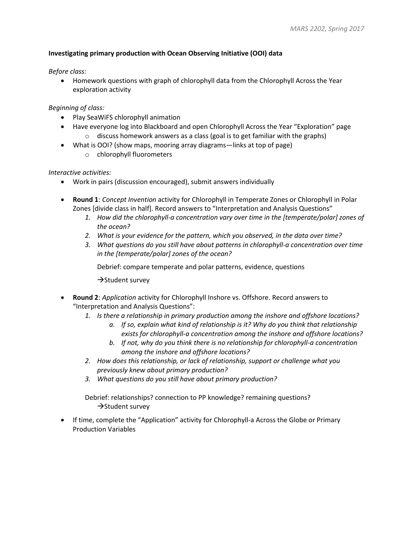## **Investigating primary production with Ocean Observing Initiative (OOI) data**

## *Before class:*

• Homework questions with graph of chlorophyll data from the Chlorophyll Across the Year exploration activity

## *Beginning of class:*

- Play SeaWiFS chlorophyll animation
- Have everyone log into Blackboard and open Chlorophyll Across the Year "Exploration" page  $\circ$  discuss homework answers as a class (goal is to get familiar with the graphs)
- What is OOI? (show maps, mooring array diagrams—links at top of page)
	- o chlorophyll fluorometers

## *Interactive activities:*

- Work in pairs (discussion encouraged), submit answers individually
- **Round 1**: *Concept Invention* activity for Chlorophyll in Temperate Zones or Chlorophyll in Polar Zones [divide class in half]. Record answers to "Interpretation and Analysis Questions"
	- *1. How did the chlorophyll-a concentration vary over time in the [temperate/polar] zones of the ocean?*
	- *2. What is your evidence for the pattern, which you observed, in the data over time?*
	- *3. What questions do you still have about patterns in chlorophyll-a concentration over time in the [temperate/polar] zones of the ocean?*

Debrief: compare temperate and polar patterns, evidence, questions

 $\rightarrow$ Student survey

- **Round 2**: *Application* activity for Chlorophyll Inshore vs. Offshore. Record answers to "Interpretation and Analysis Questions":
	- *1. Is there a relationship in primary production among the inshore and offshore locations?* 
		- *a. If so, explain what kind of relationship is it? Why do you think that relationship exists for chlorophyll-a concentration among the inshore and offshore locations?*
		- *b. If not, why do you think there is no relationship for chlorophyll-a concentration among the inshore and offshore locations?*
	- *2. How does this relationship, or lack of relationship, support or challenge what you previously knew about primary production?*
	- *3. What questions do you still have about primary production?*

Debrief: relationships? connection to PP knowledge? remaining questions?  $\rightarrow$ Student survey

• If time, complete the "Application" activity for Chlorophyll-a Across the Globe or Primary Production Variables